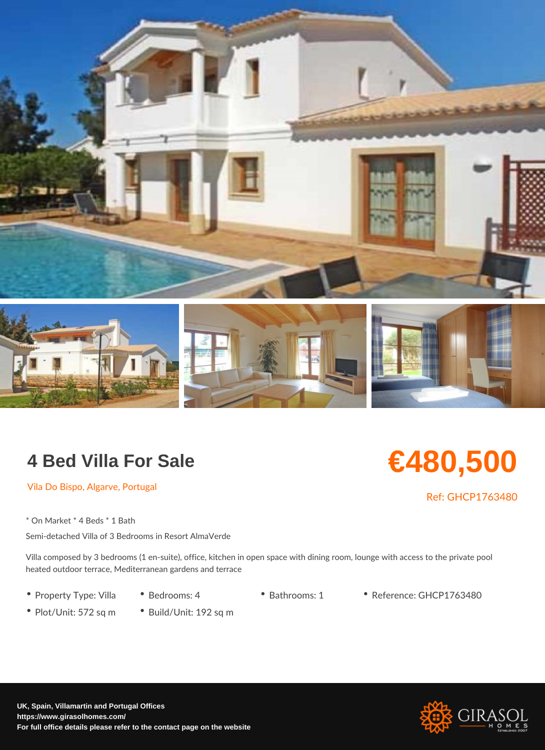## 4 Bed Villa For Sale

## €480,500

Vila Do Bispo, Algarve, Portugal

Ref: GHCP17634

\* On Market \* 4 Beds \* 1 Bath Semi-detached Villa of 3 Bedrooms in Resort AlmaVerde

Villa composed by 3 bedrooms (1 en-suite), office, kitchen in open space with dining ro heated outdoor terrace, Mediterranean gardens and terrace

- Property Type: ViBleadrooms: 4 Bathrooms: 1 Reference: GHCP1763480
- Plot/Unit: 572 sq Bmuild/Unit: 192 sq m